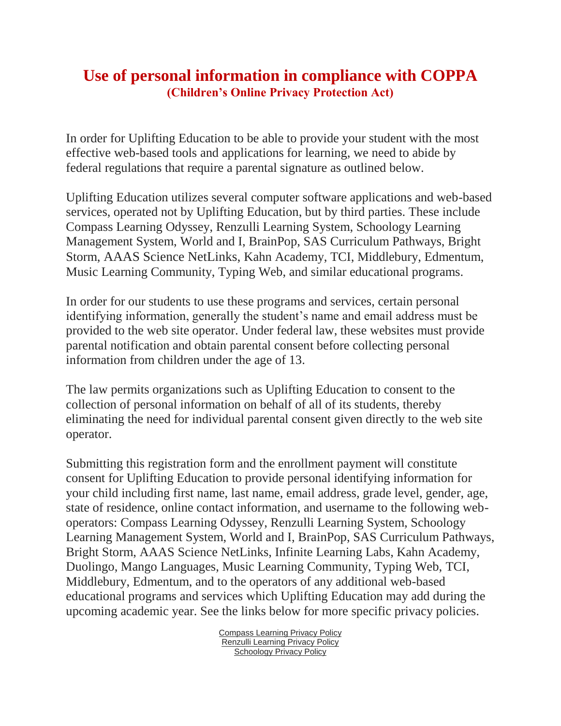## **Use of personal information in compliance with COPPA (Children's Online Privacy Protection Act)**

In order for Uplifting Education to be able to provide your student with the most effective web-based tools and applications for learning, we need to abide by federal regulations that require a parental signature as outlined below.

Uplifting Education utilizes several computer software applications and web-based services, operated not by Uplifting Education, but by third parties. These include Compass Learning Odyssey, Renzulli Learning System, Schoology Learning Management System, World and I, BrainPop, SAS Curriculum Pathways, Bright Storm, AAAS Science NetLinks, Kahn Academy, TCI, Middlebury, Edmentum, Music Learning Community, Typing Web, and similar educational programs.

In order for our students to use these programs and services, certain personal identifying information, generally the student's name and email address must be provided to the web site operator. Under federal law, these websites must provide parental notification and obtain parental consent before collecting personal information from children under the age of 13.

The law permits organizations such as Uplifting Education to consent to the collection of personal information on behalf of all of its students, thereby eliminating the need for individual parental consent given directly to the web site operator.

Submitting this registration form and the enrollment payment will constitute consent for Uplifting Education to provide personal identifying information for your child including first name, last name, email address, grade level, gender, age, state of residence, online contact information, and username to the following weboperators: Compass Learning Odyssey, Renzulli Learning System, Schoology Learning Management System, World and I, BrainPop, SAS Curriculum Pathways, Bright Storm, AAAS Science NetLinks, Infinite Learning Labs, Kahn Academy, Duolingo, Mango Languages, Music Learning Community, Typing Web, TCI, Middlebury, Edmentum, and to the operators of any additional web-based educational programs and services which Uplifting Education may add during the upcoming academic year. See the links below for more specific privacy policies.

> [Compass Learning Privacy Policy](https://www.thelearningodyssey.com/LoginContent/privacypolicy.html) [Renzulli Learning Privacy Policy](http://www.compasslearning.com/compasslearning/privacy_policy) [Schoology Privacy Policy](https://www.schoology.com/privacy.php)